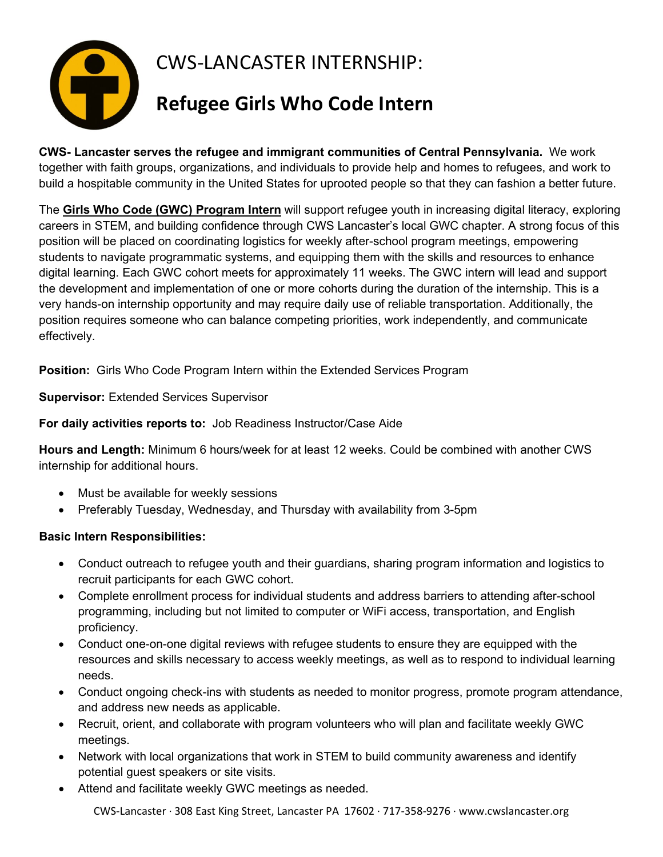

**CWS- Lancaster serves the refugee and immigrant communities of Central Pennsylvania.** We work together with faith groups, organizations, and individuals to provide help and homes to refugees, and work to build a hospitable community in the United States for uprooted people so that they can fashion a better future.

The **Girls Who Code (GWC) Program Intern** will support refugee youth in increasing digital literacy, exploring careers in STEM, and building confidence through CWS Lancaster's local GWC chapter. A strong focus of this position will be placed on coordinating logistics for weekly after-school program meetings, empowering students to navigate programmatic systems, and equipping them with the skills and resources to enhance digital learning. Each GWC cohort meets for approximately 11 weeks. The GWC intern will lead and support the development and implementation of one or more cohorts during the duration of the internship. This is a very hands-on internship opportunity and may require daily use of reliable transportation. Additionally, the position requires someone who can balance competing priorities, work independently, and communicate effectively.

**Position:** Girls Who Code Program Intern within the Extended Services Program

**Supervisor:** Extended Services Supervisor

**For daily activities reports to:** Job Readiness Instructor/Case Aide

**Hours and Length:** Minimum 6 hours/week for at least 12 weeks. Could be combined with another CWS internship for additional hours.

- Must be available for weekly sessions
- Preferably Tuesday, Wednesday, and Thursday with availability from 3-5pm

## **Basic Intern Responsibilities:**

- Conduct outreach to refugee youth and their guardians, sharing program information and logistics to recruit participants for each GWC cohort.
- Complete enrollment process for individual students and address barriers to attending after-school programming, including but not limited to computer or WiFi access, transportation, and English proficiency.
- Conduct one-on-one digital reviews with refugee students to ensure they are equipped with the resources and skills necessary to access weekly meetings, as well as to respond to individual learning needs.
- Conduct ongoing check-ins with students as needed to monitor progress, promote program attendance, and address new needs as applicable.
- Recruit, orient, and collaborate with program volunteers who will plan and facilitate weekly GWC meetings.
- Network with local organizations that work in STEM to build community awareness and identify potential guest speakers or site visits.
- Attend and facilitate weekly GWC meetings as needed.

CWS-Lancaster ∙ 308 East King Street, Lancaster PA 17602 ∙ 717-358-9276 ∙ www.cwslancaster.org